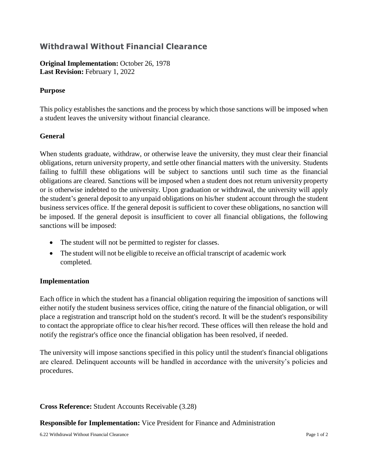# **Withdrawal Without Financial Clearance**

**Original Implementation:** October 26, 1978 **Last Revision:** February 1, 2022

## **Purpose**

This policy establishes the sanctions and the process by which those sanctions will be imposed when a student leaves the university without financial clearance.

## **General**

When students graduate, withdraw, or otherwise leave the university, they must clear their financial obligations, return university property, and settle other financial matters with the university. Students failing to fulfill these obligations will be subject to sanctions until such time as the financial obligations are cleared. Sanctions will be imposed when a student does not return university property or is otherwise indebted to the university. Upon graduation or withdrawal, the university will apply the student's general deposit to any unpaid obligations on his/her student account through the student business services office. If the general deposit is sufficient to cover these obligations, no sanction will be imposed. If the general deposit is insufficient to cover all financial obligations, the following sanctions will be imposed:

- The student will not be permitted to register for classes.
- The student will not be eligible to receive an official transcript of academic work completed.

### **Implementation**

Each office in which the student has a financial obligation requiring the imposition of sanctions will either notify the student business services office, citing the nature of the financial obligation, or will place a registration and transcript hold on the student's record. It will be the student's responsibility to contact the appropriate office to clear his/her record. These offices will then release the hold and notify the registrar's office once the financial obligation has been resolved, if needed.

The university will impose sanctions specified in this policy until the student's financial obligations are cleared. Delinquent accounts will be handled in accordance with the university's policies and procedures.

### **Cross Reference:** Student Accounts Receivable (3.28)

**Responsible for Implementation:** Vice President for Finance and Administration